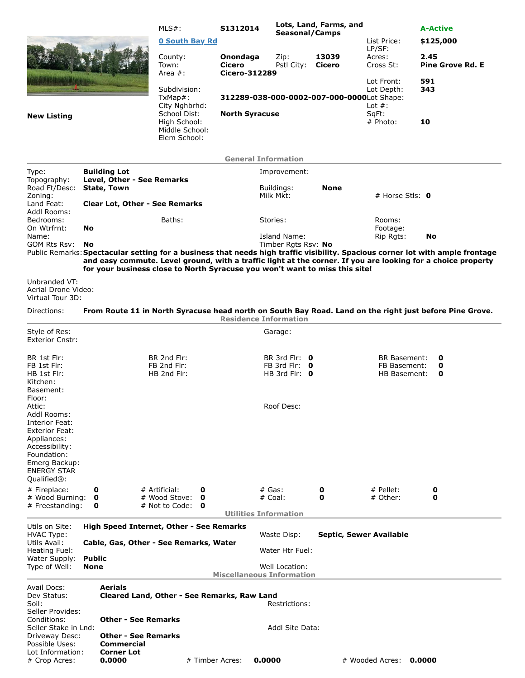|                                                                                                                                           |                                                                                           |                                                          | MLS#:                                                                       | S1312014                                   | Lots, Land, Farms, and<br>Seasonal/Camps |                         |                                       | <b>A-Active</b>                                                                                                                                                                                                                                |  |
|-------------------------------------------------------------------------------------------------------------------------------------------|-------------------------------------------------------------------------------------------|----------------------------------------------------------|-----------------------------------------------------------------------------|--------------------------------------------|------------------------------------------|-------------------------|---------------------------------------|------------------------------------------------------------------------------------------------------------------------------------------------------------------------------------------------------------------------------------------------|--|
|                                                                                                                                           |                                                                                           |                                                          | <b>0 South Bay Rd</b>                                                       |                                            |                                          |                         | List Price:                           | \$125,000                                                                                                                                                                                                                                      |  |
|                                                                                                                                           |                                                                                           |                                                          | County:<br>Town:                                                            | Onondaga<br>Cicero                         | Zip:<br>Pstl City:                       | 13039<br>Cicero         | LP/SF:<br>Acres:<br>Cross St:         | 2.45<br><b>Pine Grove Rd. E</b>                                                                                                                                                                                                                |  |
|                                                                                                                                           |                                                                                           |                                                          | Area $#$ :                                                                  | <b>Cicero-312289</b>                       |                                          |                         |                                       |                                                                                                                                                                                                                                                |  |
| $TxMap#$ :                                                                                                                                |                                                                                           |                                                          | Subdivision:<br>City Nghbrhd:                                               | 312289-038-000-0002-007-000-0000Lot Shape: |                                          |                         | Lot Front:<br>Lot Depth:<br>Lot $#$ : | 591<br>343                                                                                                                                                                                                                                     |  |
| <b>New Listing</b>                                                                                                                        |                                                                                           |                                                          | School Dist:<br>High School:<br>Middle School:<br>Elem School:              | <b>North Syracuse</b>                      |                                          |                         | SqFt:<br># Photo:                     | 10                                                                                                                                                                                                                                             |  |
|                                                                                                                                           |                                                                                           |                                                          |                                                                             | <b>General Information</b>                 |                                          |                         |                                       |                                                                                                                                                                                                                                                |  |
| Type:                                                                                                                                     | <b>Building Lot</b>                                                                       |                                                          |                                                                             |                                            | Improvement:                             |                         |                                       |                                                                                                                                                                                                                                                |  |
| Topography:<br>Road Ft/Desc:                                                                                                              | Level, Other - See Remarks<br><b>State, Town</b><br><b>Clear Lot, Other - See Remarks</b> |                                                          |                                                                             |                                            | Buildings:                               | None                    |                                       |                                                                                                                                                                                                                                                |  |
| Zoning:<br>Land Feat:                                                                                                                     |                                                                                           |                                                          |                                                                             |                                            | Milk Mkt:                                |                         |                                       | # Horse Stls: $\mathbf 0$                                                                                                                                                                                                                      |  |
| Addl Rooms:<br>Bedrooms:<br>On Wtrfrnt:                                                                                                   | No                                                                                        |                                                          | Baths:                                                                      |                                            | Stories:                                 |                         | Rooms:<br>Footage:                    |                                                                                                                                                                                                                                                |  |
| Name:<br>GOM Rts Rsv:                                                                                                                     | No                                                                                        |                                                          |                                                                             |                                            | Island Name:<br>Timber Rgts Rsv: No      |                         | Rip Rgts:                             | No                                                                                                                                                                                                                                             |  |
|                                                                                                                                           |                                                                                           |                                                          | for your business close to North Syracuse you won't want to miss this site! |                                            |                                          |                         |                                       | Public Remarks: Spectacular setting for a business that needs high traffic visibility. Spacious corner lot with ample frontage<br>and easy commute. Level ground, with a traffic light at the corner. If you are looking for a choice property |  |
| Unbranded VT:<br>Aerial Drone Video:<br>Virtual Tour 3D:                                                                                  |                                                                                           |                                                          |                                                                             |                                            |                                          |                         |                                       |                                                                                                                                                                                                                                                |  |
| Directions:                                                                                                                               |                                                                                           |                                                          |                                                                             | <b>Residence Information</b>               |                                          |                         |                                       | From Route 11 in North Syracuse head north on South Bay Road. Land on the right just before Pine Grove.                                                                                                                                        |  |
| Style of Res:<br><b>Exterior Cnstr:</b>                                                                                                   |                                                                                           |                                                          |                                                                             |                                            | Garage:                                  |                         |                                       |                                                                                                                                                                                                                                                |  |
| BR 1st Flr:<br>FB 1st Flr:                                                                                                                |                                                                                           |                                                          | BR 2nd Flr:<br>FB 2nd Flr:                                                  |                                            | BR 3rd Flr: $\theta$<br>FB 3rd Flr: 0    |                         | BR Basement:<br>FB Basement:          | 0<br>0                                                                                                                                                                                                                                         |  |
| HB 1st Flr:<br>Kitchen:<br>Basement:                                                                                                      |                                                                                           |                                                          | HB 2nd Flr:                                                                 |                                            | HB 3rd Flr: $\theta$                     |                         | <b>HB Basement:</b>                   | 0                                                                                                                                                                                                                                              |  |
| Floor:<br>Attic:<br>Addl Rooms:                                                                                                           |                                                                                           |                                                          |                                                                             |                                            | Roof Desc:                               |                         |                                       |                                                                                                                                                                                                                                                |  |
| Interior Feat:<br>Exterior Feat:<br>Appliances:<br>Accessibility:<br>Foundation:<br>Emerg Backup:<br><b>ENERGY STAR</b><br>$Qualified®$ : |                                                                                           |                                                          |                                                                             |                                            |                                          |                         |                                       |                                                                                                                                                                                                                                                |  |
| # Fireplace:                                                                                                                              | 0                                                                                         |                                                          | # Artificial:<br>0                                                          |                                            | $#$ Gas:                                 | $\mathbf{o}$            | # Pellet:                             | 0                                                                                                                                                                                                                                              |  |
| # Wood Burning:<br># Freestanding:                                                                                                        | 0<br>0                                                                                    |                                                          | # Wood Stove:<br>O<br># Not to Code:<br>0                                   |                                            | # Coal:                                  | 0                       | # Other:                              | 0                                                                                                                                                                                                                                              |  |
|                                                                                                                                           |                                                                                           |                                                          |                                                                             | <b>Utilities Information</b>               |                                          |                         |                                       |                                                                                                                                                                                                                                                |  |
| Utils on Site:<br><b>HVAC Type:</b>                                                                                                       |                                                                                           |                                                          | High Speed Internet, Other - See Remarks                                    |                                            | Waste Disp:                              | Septic, Sewer Available |                                       |                                                                                                                                                                                                                                                |  |
| Utils Avail:<br>Heating Fuel:                                                                                                             | Cable, Gas, Other - See Remarks, Water                                                    |                                                          |                                                                             |                                            | Water Htr Fuel:                          |                         |                                       |                                                                                                                                                                                                                                                |  |
| Water Supply:<br>Type of Well:                                                                                                            | <b>Public</b><br>None                                                                     |                                                          |                                                                             | <b>Miscellaneous Information</b>           | Well Location:                           |                         |                                       |                                                                                                                                                                                                                                                |  |
| Avail Docs:                                                                                                                               |                                                                                           | Aerials                                                  |                                                                             |                                            |                                          |                         |                                       |                                                                                                                                                                                                                                                |  |
| Dev Status:<br>Soil:<br>Seller Provides:                                                                                                  |                                                                                           |                                                          | Cleared Land, Other - See Remarks, Raw Land                                 |                                            | Restrictions:                            |                         |                                       |                                                                                                                                                                                                                                                |  |
| Conditions:<br>Seller Stake in Lnd:<br>Driveway Desc:                                                                                     |                                                                                           | <b>Other - See Remarks</b><br><b>Other - See Remarks</b> |                                                                             |                                            | Addl Site Data:                          |                         |                                       |                                                                                                                                                                                                                                                |  |
| Possible Uses:<br>Lot Information:                                                                                                        |                                                                                           | <b>Commercial</b><br><b>Corner Lot</b>                   |                                                                             |                                            |                                          |                         |                                       |                                                                                                                                                                                                                                                |  |
| # Crop Acres:                                                                                                                             |                                                                                           | 0.0000                                                   | # Timber Acres:                                                             | 0.0000                                     |                                          |                         | # Wooded Acres: 0.0000                |                                                                                                                                                                                                                                                |  |